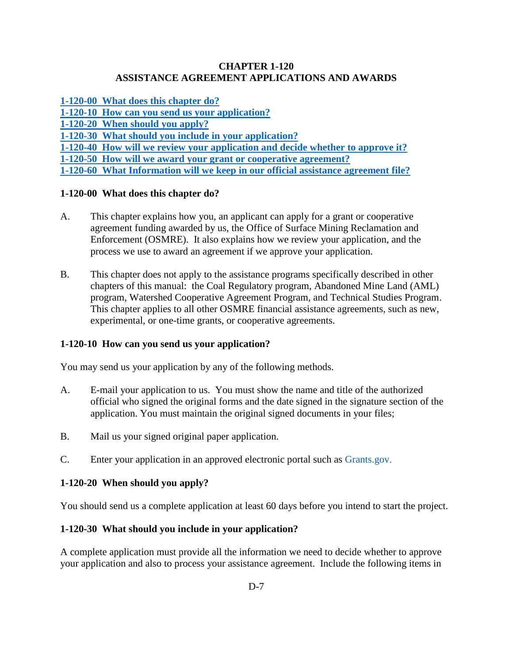### **CHAPTER 1-120 ASSISTANCE AGREEMENT APPLICATIONS AND AWARDS**

- **[1-120-00 What does this chapter](#page-0-0) do?**
- **[1-120-10 How can you send us your application?](#page-0-1)**
- **[1-120-20 When should you apply?](#page-0-2)**
- **[1-120-30 What should you include in your application?](#page-0-3)**
- **[1-120-40 How will we review your application and decide whether to approve it?](#page-1-0)**
- **[1-120-50 How will we award your grant or cooperative agreement?](#page-2-0)**

**[1-120-60 What Information will we keep in our official assistance agreement file?](#page-2-1)**

## <span id="page-0-0"></span>**1-120-00 What does this chapter do?**

- A. This chapter explains how you, an applicant can apply for a grant or cooperative agreement funding awarded by us, the Office of Surface Mining Reclamation and Enforcement (OSMRE). It also explains how we review your application, and the process we use to award an agreement if we approve your application.
- B. This chapter does not apply to the assistance programs specifically described in other chapters of this manual: the Coal Regulatory program, Abandoned Mine Land (AML) program, Watershed Cooperative Agreement Program, and Technical Studies Program. This chapter applies to all other OSMRE financial assistance agreements, such as new, experimental, or one-time grants, or cooperative agreements.

# <span id="page-0-1"></span>**1-120-10 How can you send us your application?**

You may send us your application by any of the following methods.

- A. E-mail your application to us. You must show the name and title of the authorized official who signed the original forms and the date signed in the signature section of the application. You must maintain the original signed documents in your files;
- B. Mail us your signed original paper application.
- C. Enter your application in an approved electronic portal such as [Grants.gov.](http://www.grants.gov/)

### <span id="page-0-2"></span>**1-120-20 When should you apply?**

You should send us a complete application at least 60 days before you intend to start the project.

# <span id="page-0-3"></span>**1-120-30 What should you include in your application?**

A complete application must provide all the information we need to decide whether to approve your application and also to process your assistance agreement. Include the following items in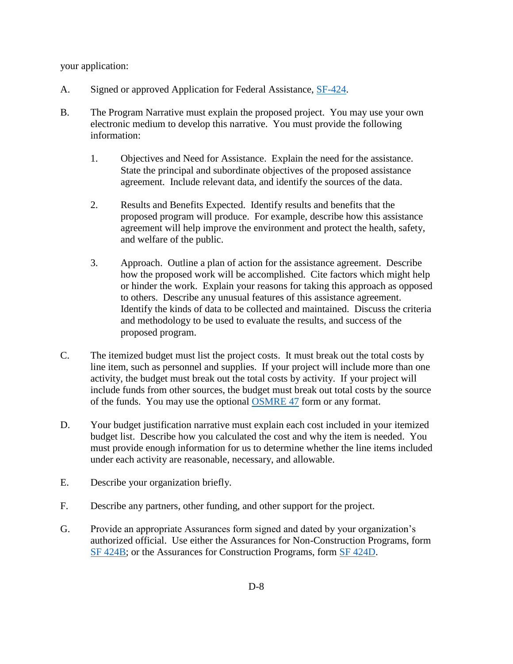your application:

- A. Signed or approved Application for Federal Assistance, [SF-424.](http://apply07.grants.gov/apply/forms/sample/SF424_2_1-V2.1.pdf)
- B. The Program Narrative must explain the proposed project. You may use your own electronic medium to develop this narrative. You must provide the following information:
	- 1. Objectives and Need for Assistance. Explain the need for the assistance. State the principal and subordinate objectives of the proposed assistance agreement. Include relevant data, and identify the sources of the data.
	- 2. Results and Benefits Expected. Identify results and benefits that the proposed program will produce. For example, describe how this assistance agreement will help improve the environment and protect the health, safety, and welfare of the public.
	- 3. Approach. Outline a plan of action for the assistance agreement. Describe how the proposed work will be accomplished. Cite factors which might help or hinder the work. Explain your reasons for taking this approach as opposed to others. Describe any unusual features of this assistance agreement. Identify the kinds of data to be collected and maintained. Discuss the criteria and methodology to be used to evaluate the results, and success of the proposed program.
- C. The itemized budget must list the project costs. It must break out the total costs by line item, such as personnel and supplies. If your project will include more than one activity, the budget must break out the total costs by activity. If your project will include funds from other sources, the budget must break out total costs by the source of the funds. You may use the optional [OSMRE 47](http://www.osmre.gov/resources/forms/OSM47.pdf) form or any format.
- D. Your budget justification narrative must explain each cost included in your itemized budget list. Describe how you calculated the cost and why the item is needed. You must provide enough information for us to determine whether the line items included under each activity are reasonable, necessary, and allowable.
- E. Describe your organization briefly.
- F. Describe any partners, other funding, and other support for the project.
- <span id="page-1-0"></span>G. Provide an appropriate Assurances form signed and dated by your organization's authorized official. Use either the Assurances for Non-Construction Programs, form [SF 424B;](http://apply07.grants.gov/apply/forms/sample/SF424B-V1.1.pdf) or the Assurances for Construction Programs, form [SF 424D.](http://apply07.grants.gov/apply/forms/sample/SF424D-V1.1.pdf)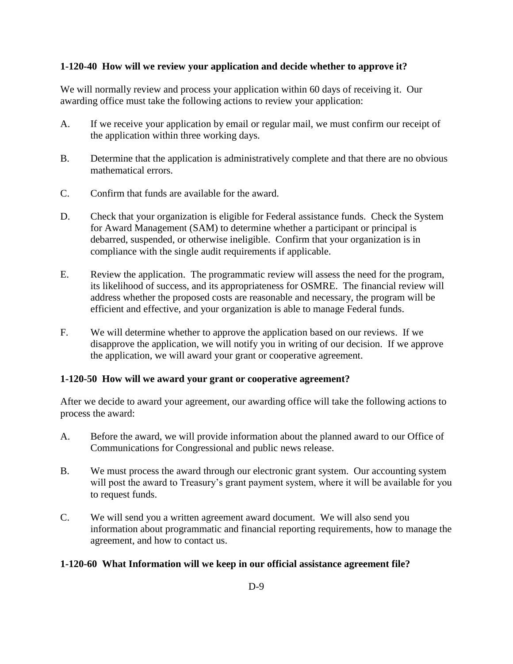## **1-120-40 How will we review your application and decide whether to approve it?**

We will normally review and process your application within 60 days of receiving it. Our awarding office must take the following actions to review your application:

- A. If we receive your application by email or regular mail, we must confirm our receipt of the application within three working days.
- B. Determine that the application is administratively complete and that there are no obvious mathematical errors.
- C. Confirm that funds are available for the award.
- D. Check that your organization is eligible for Federal assistance funds. Check the System for Award Management (SAM) to determine whether a participant or principal is debarred, suspended, or otherwise ineligible. Confirm that your organization is in compliance with the single audit requirements if applicable.
- E. Review the application. The programmatic review will assess the need for the program, its likelihood of success, and its appropriateness for OSMRE. The financial review will address whether the proposed costs are reasonable and necessary, the program will be efficient and effective, and your organization is able to manage Federal funds.
- F. We will determine whether to approve the application based on our reviews. If we disapprove the application, we will notify you in writing of our decision. If we approve the application, we will award your grant or cooperative agreement.

### <span id="page-2-0"></span>**1-120-50 How will we award your grant or cooperative agreement?**

After we decide to award your agreement, our awarding office will take the following actions to process the award:

- A. Before the award, we will provide information about the planned award to our Office of Communications for Congressional and public news release.
- B. We must process the award through our electronic grant system. Our accounting system will post the award to Treasury's grant payment system, where it will be available for you to request funds.
- C. We will send you a written agreement award document. We will also send you information about programmatic and financial reporting requirements, how to manage the agreement, and how to contact us.

### <span id="page-2-1"></span>**1-120-60 What Information will we keep in our official assistance agreement file?**